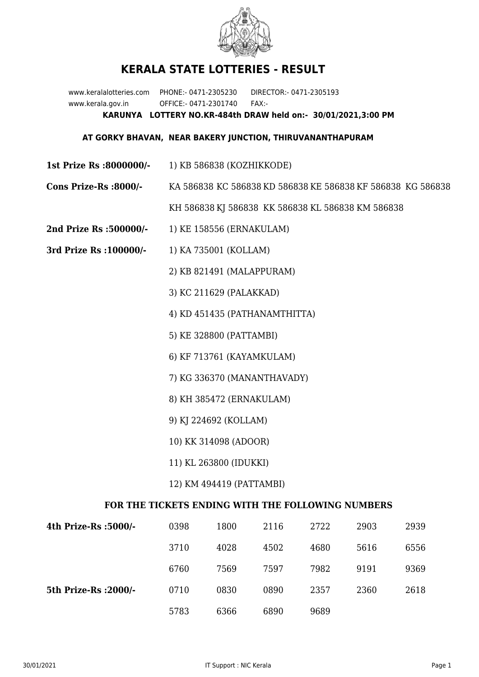

## **KERALA STATE LOTTERIES - RESULT**

www.keralalotteries.com PHONE:- 0471-2305230 DIRECTOR:- 0471-2305193 www.kerala.gov.in OFFICE:- 0471-2301740 FAX:- **KARUNYA LOTTERY NO.KR-484th DRAW held on:- 30/01/2021,3:00 PM**

## **AT GORKY BHAVAN, NEAR BAKERY JUNCTION, THIRUVANANTHAPURAM**

- **1st Prize Rs :8000000/-** 1) KB 586838 (KOZHIKKODE)
- **Cons Prize-Rs :8000/-** KA 586838 KC 586838 KD 586838 KE 586838 KF 586838 KG 586838

KH 586838 KJ 586838 KK 586838 KL 586838 KM 586838

- **2nd Prize Rs :500000/-** 1) KE 158556 (ERNAKULAM)
- **3rd Prize Rs :100000/-** 1) KA 735001 (KOLLAM)

2) KB 821491 (MALAPPURAM)

3) KC 211629 (PALAKKAD)

4) KD 451435 (PATHANAMTHITTA)

5) KE 328800 (PATTAMBI)

6) KF 713761 (KAYAMKULAM)

7) KG 336370 (MANANTHAVADY)

8) KH 385472 (ERNAKULAM)

9) KJ 224692 (KOLLAM)

10) KK 314098 (ADOOR)

- 11) KL 263800 (IDUKKI)
- 12) KM 494419 (PATTAMBI)

## **FOR THE TICKETS ENDING WITH THE FOLLOWING NUMBERS**

| 4th Prize-Rs :5000/-  | 0398 | 1800 | 2116 | 2722 | 2903 | 2939 |
|-----------------------|------|------|------|------|------|------|
|                       | 3710 | 4028 | 4502 | 4680 | 5616 | 6556 |
|                       | 6760 | 7569 | 7597 | 7982 | 9191 | 9369 |
| 5th Prize-Rs : 2000/- | 0710 | 0830 | 0890 | 2357 | 2360 | 2618 |
|                       | 5783 | 6366 | 6890 | 9689 |      |      |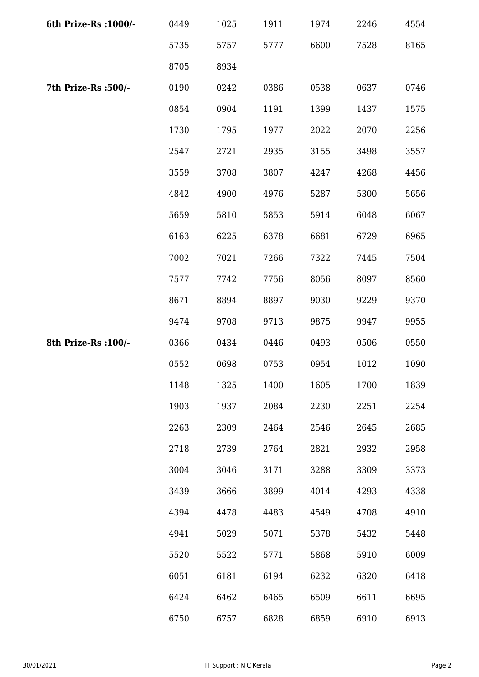| 6th Prize-Rs : 1000/- | 0449 | 1025 | 1911 | 1974 | 2246 | 4554 |
|-----------------------|------|------|------|------|------|------|
|                       | 5735 | 5757 | 5777 | 6600 | 7528 | 8165 |
|                       | 8705 | 8934 |      |      |      |      |
| 7th Prize-Rs : 500/-  | 0190 | 0242 | 0386 | 0538 | 0637 | 0746 |
|                       | 0854 | 0904 | 1191 | 1399 | 1437 | 1575 |
|                       | 1730 | 1795 | 1977 | 2022 | 2070 | 2256 |
|                       | 2547 | 2721 | 2935 | 3155 | 3498 | 3557 |
|                       | 3559 | 3708 | 3807 | 4247 | 4268 | 4456 |
|                       | 4842 | 4900 | 4976 | 5287 | 5300 | 5656 |
|                       | 5659 | 5810 | 5853 | 5914 | 6048 | 6067 |
|                       | 6163 | 6225 | 6378 | 6681 | 6729 | 6965 |
|                       | 7002 | 7021 | 7266 | 7322 | 7445 | 7504 |
|                       | 7577 | 7742 | 7756 | 8056 | 8097 | 8560 |
|                       | 8671 | 8894 | 8897 | 9030 | 9229 | 9370 |
|                       | 9474 | 9708 | 9713 | 9875 | 9947 | 9955 |
| 8th Prize-Rs : 100/-  | 0366 | 0434 | 0446 | 0493 | 0506 | 0550 |
|                       | 0552 | 0698 | 0753 | 0954 | 1012 | 1090 |
|                       | 1148 | 1325 | 1400 | 1605 | 1700 | 1839 |
|                       | 1903 | 1937 | 2084 | 2230 | 2251 | 2254 |
|                       | 2263 | 2309 | 2464 | 2546 | 2645 | 2685 |
|                       | 2718 | 2739 | 2764 | 2821 | 2932 | 2958 |
|                       | 3004 | 3046 | 3171 | 3288 | 3309 | 3373 |
|                       | 3439 | 3666 | 3899 | 4014 | 4293 | 4338 |
|                       | 4394 | 4478 | 4483 | 4549 | 4708 | 4910 |
|                       | 4941 | 5029 | 5071 | 5378 | 5432 | 5448 |
|                       | 5520 | 5522 | 5771 | 5868 | 5910 | 6009 |
|                       | 6051 | 6181 | 6194 | 6232 | 6320 | 6418 |
|                       | 6424 | 6462 | 6465 | 6509 | 6611 | 6695 |
|                       | 6750 | 6757 | 6828 | 6859 | 6910 | 6913 |